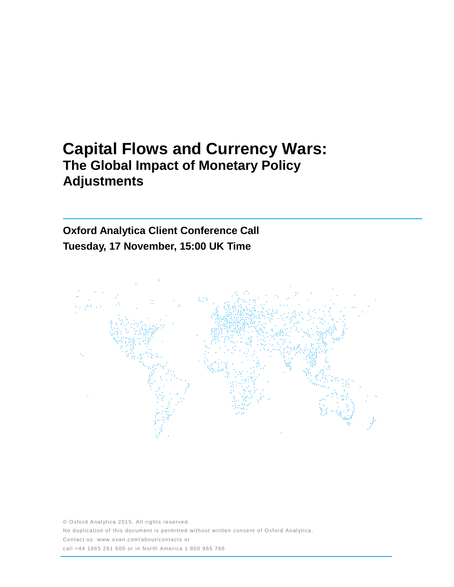# **Capital Flows and Currency Wars: The Global Impact of Monetary Policy Adjustments**

## **Oxford Analytica Client Conference Call Tuesday, 17 November, 15:00 UK Time**



© Oxford Analytica 2015. All rights reserved. No duplication of this document is permitted without written consent of Oxford Analytica. Contact us: www.oxan.com/about/contacts or call +44 1865 261 600 or in North America 1 800 965 766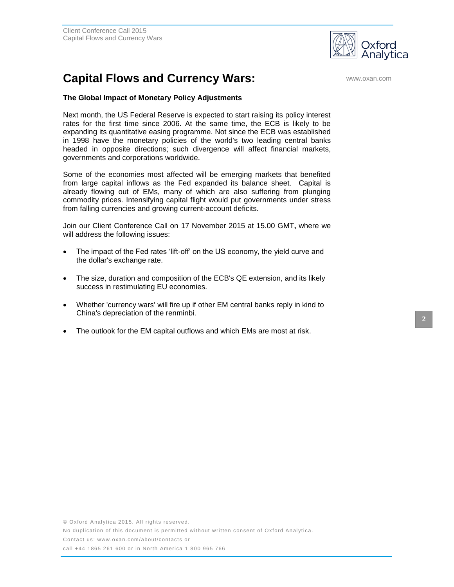

## **Capital Flows and Currency Wars: Capital Flows and Currency Wars:**

#### **The Global Impact of Monetary Policy Adjustments**

Next month, the US Federal Reserve is expected to start raising its policy interest rates for the first time since 2006. At the same time, the ECB is likely to be expanding its quantitative easing programme. Not since the ECB was established in 1998 have the monetary policies of the world's two leading central banks headed in opposite directions; such divergence will affect financial markets, governments and corporations worldwide.

Some of the economies most affected will be emerging markets that benefited from large capital inflows as the Fed expanded its balance sheet. Capital is already flowing out of EMs, many of which are also suffering from plunging commodity prices. Intensifying capital flight would put governments under stress from falling currencies and growing current-account deficits.

Join our Client Conference Call on 17 November 2015 at 15.00 GMT**,** where we will address the following issues:

- The impact of the Fed rates 'lift-off' on the US economy, the yield curve and the dollar's exchange rate.
- The size, duration and composition of the ECB's QE extension, and its likely success in restimulating EU economies.
- Whether 'currency wars' will fire up if other EM central banks reply in kind to China's depreciation of the renminbi.
- The outlook for the EM capital outflows and which EMs are most at risk.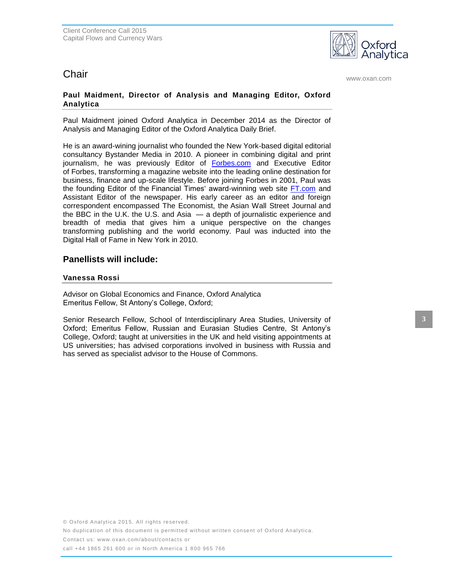

**Chair** www.oxan.com

#### **Paul Maidment, Director of Analysis and Managing Editor, Oxford Analytica**

Paul Maidment joined Oxford Analytica in December 2014 as the Director of Analysis and Managing Editor of the Oxford Analytica Daily Brief.

He is an award-wining journalist who founded the New York-based digital editorial consultancy Bystander Media in 2010. A pioneer in combining digital and print journalism, he was previously Editor of [Forbes.com](http://forbes.com/) and Executive Editor of Forbes, transforming a magazine website into the leading online destination for business, finance and up-scale lifestyle. Before joining Forbes in 2001, Paul was the founding Editor of the Financial Times' award-winning web site [FT.com](http://ft.com/) and Assistant Editor of the newspaper. His early career as an editor and foreign correspondent encompassed The Economist, the Asian Wall Street Journal and the BBC in the U.K. the U.S. and Asia — a depth of journalistic experience and breadth of media that gives him a unique perspective on the changes transforming publishing and the world economy. Paul was inducted into the Digital Hall of Fame in New York in 2010.

### **Panellists will include:**

#### **Vanessa Rossi**

Advisor on Global Economics and Finance, Oxford Analytica Emeritus Fellow, St Antony's College, Oxford;

Senior Research Fellow, School of Interdisciplinary Area Studies, University of Oxford; Emeritus Fellow, Russian and Eurasian Studies Centre, St Antony's College, Oxford; taught at universities in the UK and held visiting appointments at US universities; has advised corporations involved in business with Russia and has served as specialist advisor to the House of Commons.